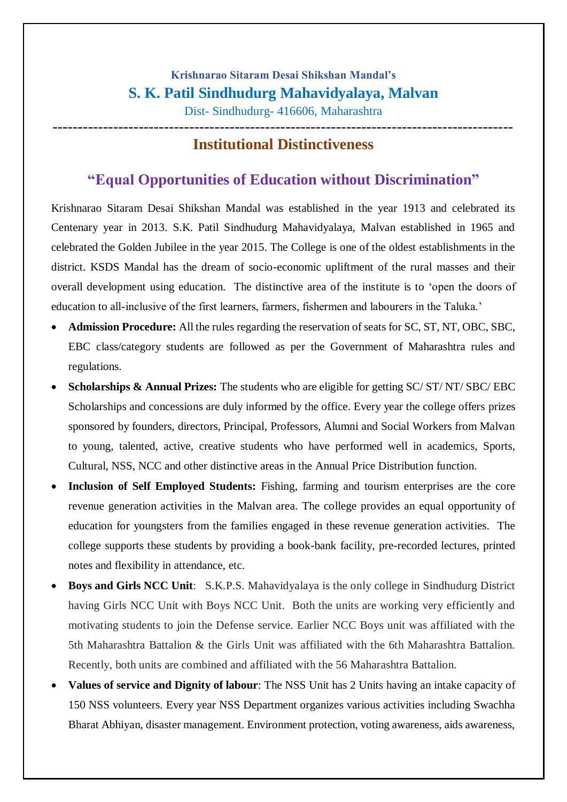## **Krishnarao Sitaram Desai Shikshan Mandal's S. K. Patil Sindhudurg Mahavidyalaya, Malvan**

Dist- Sindhudurg- 416606, Maharashtra

## ------------------------------------------------------------------------------------------- **Institutional Distinctiveness**

## **"Equal Opportunities of Education without Discrimination"**

Krishnarao Sitaram Desai Shikshan Mandal was established in the year 1913 and celebrated its Centenary year in 2013. S.K. Patil Sindhudurg Mahavidyalaya, Malvan established in 1965 and celebrated the Golden Jubilee in the year 2015. The College is one of the oldest establishments in the district. KSDS Mandal has the dream of socio-economic upliftment of the rural masses and their overall development using education. The distinctive area of the institute is to 'open the doors of education to all-inclusive of the first learners, farmers, fishermen and labourers in the Taluka.'

- **Admission Procedure:** All the rules regarding the reservation of seats for SC, ST, NT, OBC, SBC, EBC class/category students are followed as per the Government of Maharashtra rules and regulations.
- **Scholarships & Annual Prizes:** The students who are eligible for getting SC/ ST/ NT/ SBC/ EBC Scholarships and concessions are duly informed by the office. Every year the college offers prizes sponsored by founders, directors, Principal, Professors, Alumni and Social Workers from Malvan to young, talented, active, creative students who have performed well in academics, Sports, Cultural, NSS, NCC and other distinctive areas in the Annual Price Distribution function.
- **Inclusion of Self Employed Students:** Fishing, farming and tourism enterprises are the core revenue generation activities in the Malvan area. The college provides an equal opportunity of education for youngsters from the families engaged in these revenue generation activities. The college supports these students by providing a book-bank facility, pre-recorded lectures, printed notes and flexibility in attendance, etc.
- **Boys and Girls NCC Unit**: S.K.P.S. Mahavidyalaya is the only college in Sindhudurg District having Girls NCC Unit with Boys NCC Unit. Both the units are working very efficiently and motivating students to join the Defense service. Earlier NCC Boys unit was affiliated with the 5th Maharashtra Battalion & the Girls Unit was affiliated with the 6th Maharashtra Battalion. Recently, both units are combined and affiliated with the 56 Maharashtra Battalion.
- **Values of service and Dignity of labour**: The NSS Unit has 2 Units having an intake capacity of 150 NSS volunteers. Every year NSS Department organizes various activities including Swachha Bharat Abhiyan, disaster management. Environment protection, voting awareness, aids awareness,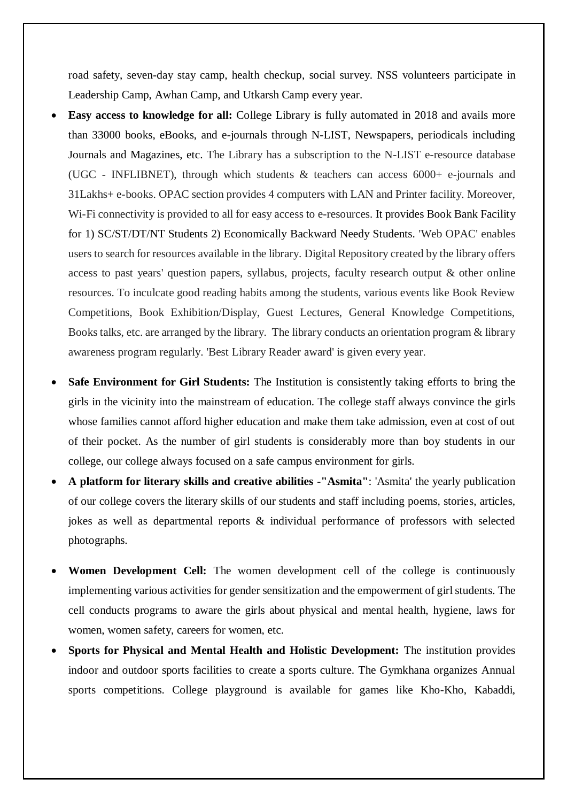road safety, seven-day stay camp, health checkup, social survey. NSS volunteers participate in Leadership Camp, Awhan Camp, and Utkarsh Camp every year.

- **Easy access to knowledge for all:** College Library is fully automated in 2018 and avails more than 33000 books, eBooks, and e-journals through N-LIST, Newspapers, periodicals including Journals and Magazines, etc. The Library has a subscription to the N-LIST e-resource database (UGC - INFLIBNET), through which students & teachers can access 6000+ e-journals and 31Lakhs+ e-books. OPAC section provides 4 computers with LAN and Printer facility. Moreover, Wi-Fi connectivity is provided to all for easy access to e-resources. It provides Book Bank Facility for 1) SC/ST/DT/NT Students 2) Economically Backward Needy Students. 'Web OPAC' enables users to search for resources available in the library. Digital Repository created by the library offers access to past years' question papers, syllabus, projects, faculty research output & other online resources. To inculcate good reading habits among the students, various events like Book Review Competitions, Book Exhibition/Display, Guest Lectures, General Knowledge Competitions, Books talks, etc. are arranged by the library. The library conducts an orientation program & library awareness program regularly. 'Best Library Reader award' is given every year.
- **Safe Environment for Girl Students:** The Institution is consistently taking efforts to bring the girls in the vicinity into the mainstream of education. The college staff always convince the girls whose families cannot afford higher education and make them take admission, even at cost of out of their pocket. As the number of girl students is considerably more than boy students in our college, our college always focused on a safe campus environment for girls.
- **A platform for literary skills and creative abilities -"Asmita"**: 'Asmita' the yearly publication of our college covers the literary skills of our students and staff including poems, stories, articles, jokes as well as departmental reports & individual performance of professors with selected photographs.
- **Women Development Cell:** The women development cell of the college is continuously implementing various activities for gender sensitization and the empowerment of girl students. The cell conducts programs to aware the girls about physical and mental health, hygiene, laws for women, women safety, careers for women, etc.
- **Sports for Physical and Mental Health and Holistic Development:** The institution provides indoor and outdoor sports facilities to create a sports culture. The Gymkhana organizes Annual sports competitions. College playground is available for games like Kho-Kho, Kabaddi,